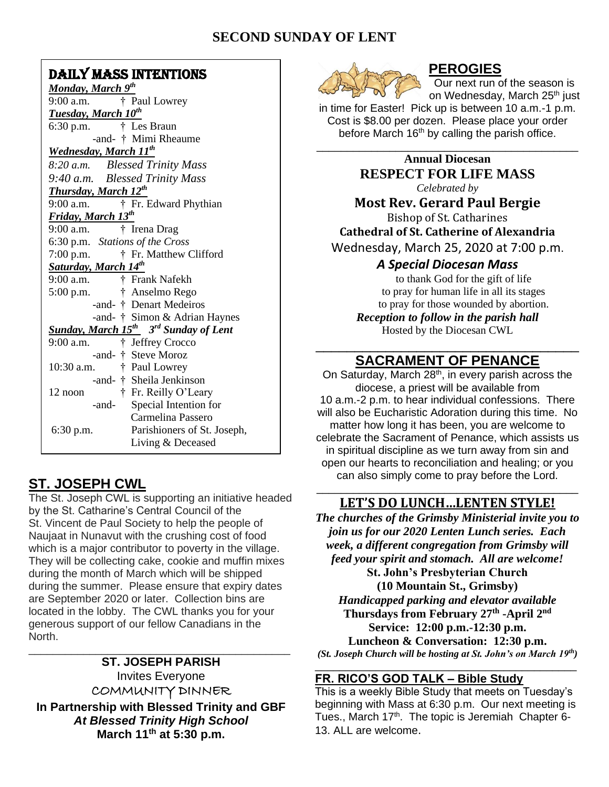# **SECOND SUNDAY OF LENT**

# DAILY MASS INTENTIONS

# **ST. JOSEPH CWL**

The St. Joseph CWL is supporting an initiative headed by the St. Catharine's Central Council of the St. Vincent de Paul Society to help the people of Naujaat in Nunavut with the crushing cost of food which is a major contributor to poverty in the village. They will be collecting cake, cookie and muffin mixes during the month of March which will be shipped during the summer. Please ensure that expiry dates are September 2020 or later. Collection bins are located in the lobby. The CWL thanks you for your generous support of our fellow Canadians in the North.

**ST. JOSEPH PARISH** Invites Everyone COMMUNITY DINNER **In Partnership with Blessed Trinity and GBF** *At Blessed Trinity High School* **March 11th at 5:30 p.m.**

\_\_\_\_\_\_\_\_\_\_\_\_\_\_\_\_\_\_\_\_\_\_\_\_\_\_\_\_\_\_\_\_\_\_\_\_\_\_\_\_\_\_\_



# **PEROGIES**

Our next run of the season is on Wednesday, March 25<sup>th</sup> just

in time for Easter! Pick up is between 10 a.m.-1 p.m. Cost is \$8.00 per dozen. Please place your order before March  $16<sup>th</sup>$  by calling the parish office.

> **Annual Diocesan RESPECT FOR LIFE MASS** *Celebrated by*

\_\_\_\_\_\_\_\_\_\_\_\_\_\_\_\_\_\_\_\_\_\_\_\_\_\_\_\_\_\_\_\_\_\_\_\_\_\_\_\_\_\_\_

**Most Rev. Gerard Paul Bergie**

Bishop of St. Catharines **Cathedral of St. Catherine of Alexandria** Wednesday, March 25, 2020 at 7:00 p.m.

# *A Special Diocesan Mass*

to thank God for the gift of life to pray for human life in all its stages to pray for those wounded by abortion. *Reception to follow in the parish hall* Hosted by the Diocesan CWL

## \_\_\_\_\_\_\_\_\_\_\_\_\_\_\_\_\_\_\_\_\_\_\_\_\_\_\_\_\_\_\_\_\_\_ **SACRAMENT OF PENANCE**

On Saturday, March 28<sup>th</sup>, in every parish across the diocese, a priest will be available from 10 a.m.-2 p.m. to hear individual confessions. There will also be Eucharistic Adoration during this time. No matter how long it has been, you are welcome to celebrate the Sacrament of Penance, which assists us in spiritual discipline as we turn away from sin and open our hearts to reconciliation and healing; or you can also simply come to pray before the Lord.

## \_\_\_\_\_\_\_\_\_\_\_\_\_\_\_\_\_\_\_\_\_\_\_\_\_\_\_\_\_\_\_\_\_\_\_\_\_\_\_\_\_\_\_ **LET'S DO LUNCH…LENTEN STYLE!**

*The churches of the Grimsby Ministerial invite you to join us for our 2020 Lenten Lunch series. Each week, a different congregation from Grimsby will feed your spirit and stomach. All are welcome!* **St. John's Presbyterian Church (10 Mountain St., Grimsby)** *Handicapped parking and elevator available* **Thursdays from February 27th -April 2 nd Service: 12:00 p.m.-12:30 p.m. Luncheon & Conversation: 12:30 p.m.** *(St. Joseph Church will be hosting at St. John's on March 19th)*

### \_\_\_\_\_\_\_\_\_\_\_\_\_\_\_\_\_\_\_\_\_\_\_\_\_\_\_\_\_\_\_\_\_\_\_\_\_\_\_\_\_\_\_ **FR. RICO'S GOD TALK – Bible Study**

This is a weekly Bible Study that meets on Tuesday's beginning with Mass at 6:30 p.m. Our next meeting is Tues., March 17<sup>th</sup>. The topic is Jeremiah Chapter 6-13. ALL are welcome.